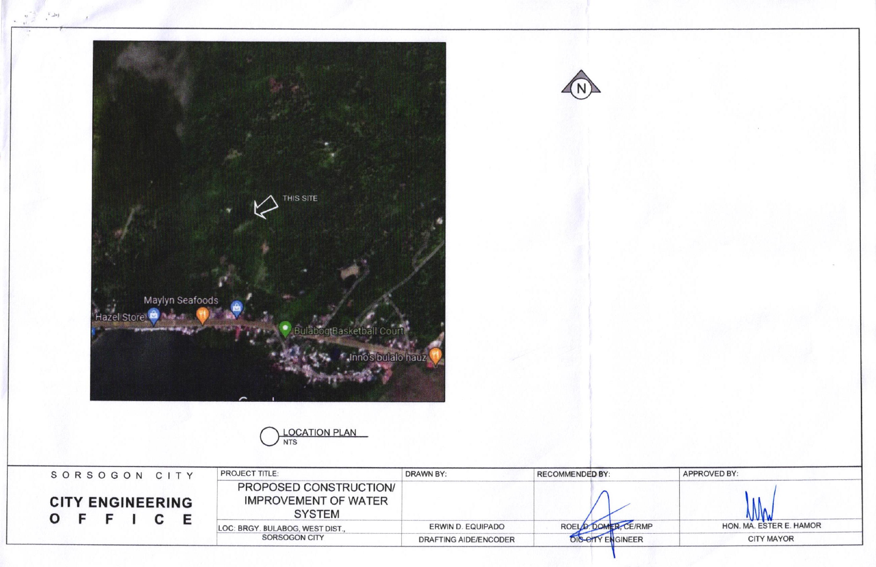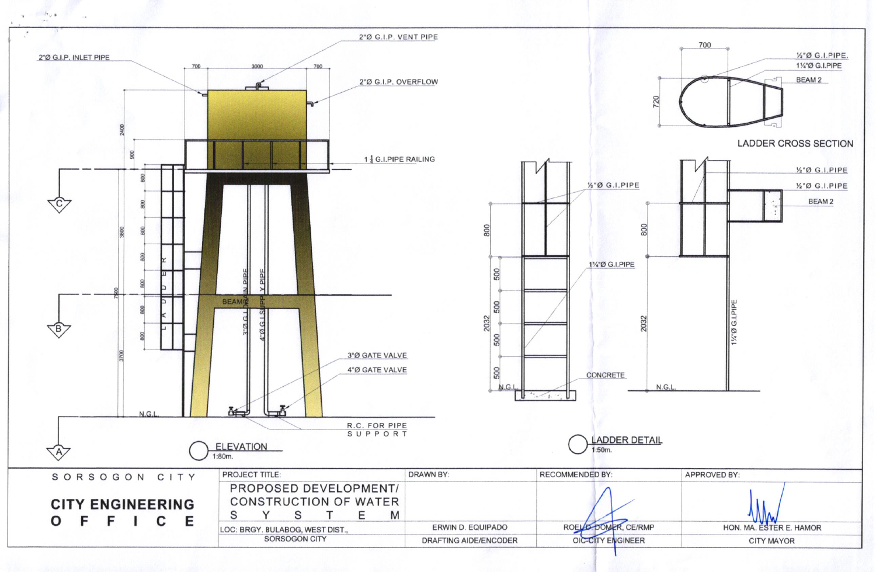